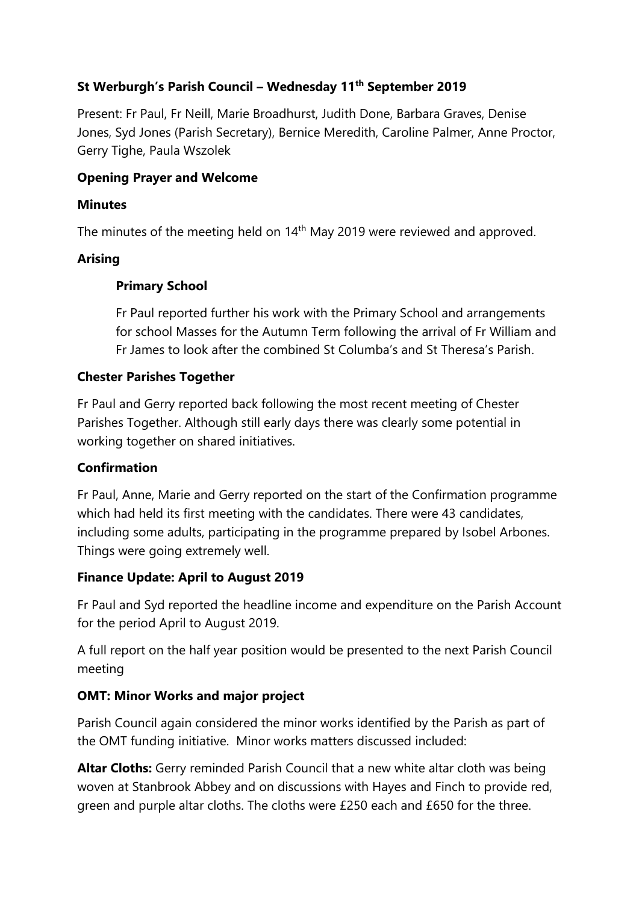# **St Werburgh's Parish Council – Wednesday 11th September 2019**

Present: Fr Paul, Fr Neill, Marie Broadhurst, Judith Done, Barbara Graves, Denise Jones, Syd Jones (Parish Secretary), Bernice Meredith, Caroline Palmer, Anne Proctor, Gerry Tighe, Paula Wszolek

#### **Opening Prayer and Welcome**

#### **Minutes**

The minutes of the meeting held on  $14<sup>th</sup>$  May 2019 were reviewed and approved.

### **Arising**

### **Primary School**

Fr Paul reported further his work with the Primary School and arrangements for school Masses for the Autumn Term following the arrival of Fr William and Fr James to look after the combined St Columba's and St Theresa's Parish.

#### **Chester Parishes Together**

Fr Paul and Gerry reported back following the most recent meeting of Chester Parishes Together. Although still early days there was clearly some potential in working together on shared initiatives.

### **Confirmation**

Fr Paul, Anne, Marie and Gerry reported on the start of the Confirmation programme which had held its first meeting with the candidates. There were 43 candidates, including some adults, participating in the programme prepared by Isobel Arbones. Things were going extremely well.

### **Finance Update: April to August 2019**

Fr Paul and Syd reported the headline income and expenditure on the Parish Account for the period April to August 2019.

A full report on the half year position would be presented to the next Parish Council meeting

# **OMT: Minor Works and major project**

Parish Council again considered the minor works identified by the Parish as part of the OMT funding initiative. Minor works matters discussed included:

**Altar Cloths:** Gerry reminded Parish Council that a new white altar cloth was being woven at Stanbrook Abbey and on discussions with Hayes and Finch to provide red, green and purple altar cloths. The cloths were £250 each and £650 for the three.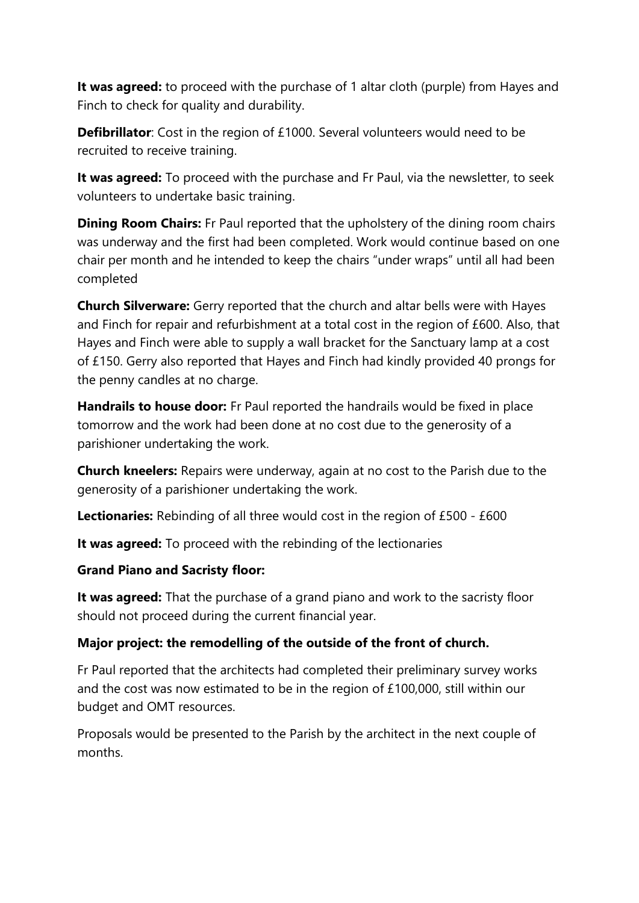**It was agreed:** to proceed with the purchase of 1 altar cloth (purple) from Hayes and Finch to check for quality and durability.

**Defibrillator**: Cost in the region of £1000. Several volunteers would need to be recruited to receive training.

**It was agreed:** To proceed with the purchase and Fr Paul, via the newsletter, to seek volunteers to undertake basic training.

**Dining Room Chairs:** Fr Paul reported that the upholstery of the dining room chairs was underway and the first had been completed. Work would continue based on one chair per month and he intended to keep the chairs "under wraps" until all had been completed

**Church Silverware:** Gerry reported that the church and altar bells were with Hayes and Finch for repair and refurbishment at a total cost in the region of £600. Also, that Hayes and Finch were able to supply a wall bracket for the Sanctuary lamp at a cost of £150. Gerry also reported that Hayes and Finch had kindly provided 40 prongs for the penny candles at no charge.

**Handrails to house door:** Fr Paul reported the handrails would be fixed in place tomorrow and the work had been done at no cost due to the generosity of a parishioner undertaking the work.

**Church kneelers:** Repairs were underway, again at no cost to the Parish due to the generosity of a parishioner undertaking the work.

**Lectionaries:** Rebinding of all three would cost in the region of £500 - £600

**It was agreed:** To proceed with the rebinding of the lectionaries

### **Grand Piano and Sacristy floor:**

**It was agreed:** That the purchase of a grand piano and work to the sacristy floor should not proceed during the current financial year.

# **Major project: the remodelling of the outside of the front of church.**

Fr Paul reported that the architects had completed their preliminary survey works and the cost was now estimated to be in the region of £100,000, still within our budget and OMT resources.

Proposals would be presented to the Parish by the architect in the next couple of months.